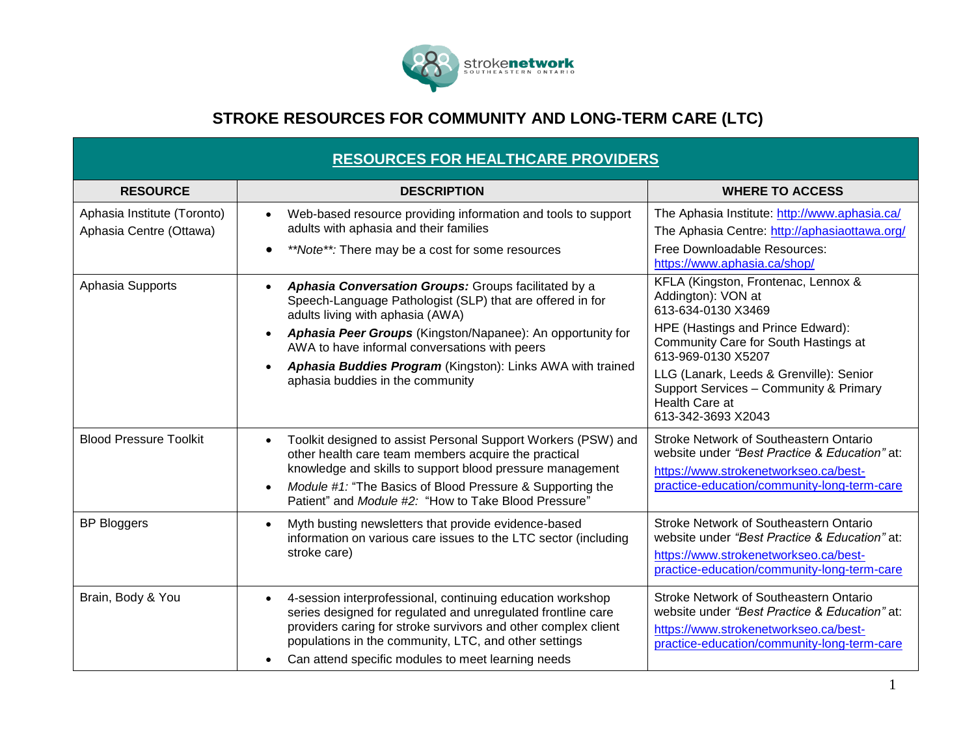

## **STROKE RESOURCES FOR COMMUNITY AND LONG-TERM CARE (LTC)**

| <b>RESOURCES FOR HEALTHCARE PROVIDERS</b>              |                                                                                                                                                                                                                                                                                                                                                                                                  |                                                                                                                                                                                                                                                                                                                 |  |
|--------------------------------------------------------|--------------------------------------------------------------------------------------------------------------------------------------------------------------------------------------------------------------------------------------------------------------------------------------------------------------------------------------------------------------------------------------------------|-----------------------------------------------------------------------------------------------------------------------------------------------------------------------------------------------------------------------------------------------------------------------------------------------------------------|--|
| <b>RESOURCE</b>                                        | <b>DESCRIPTION</b>                                                                                                                                                                                                                                                                                                                                                                               | <b>WHERE TO ACCESS</b>                                                                                                                                                                                                                                                                                          |  |
| Aphasia Institute (Toronto)<br>Aphasia Centre (Ottawa) | Web-based resource providing information and tools to support<br>adults with aphasia and their families<br>**Note**: There may be a cost for some resources                                                                                                                                                                                                                                      | The Aphasia Institute: http://www.aphasia.ca/<br>The Aphasia Centre: http://aphasiaottawa.org/<br>Free Downloadable Resources:<br>https://www.aphasia.ca/shop/                                                                                                                                                  |  |
| Aphasia Supports                                       | Aphasia Conversation Groups: Groups facilitated by a<br>$\bullet$<br>Speech-Language Pathologist (SLP) that are offered in for<br>adults living with aphasia (AWA)<br>Aphasia Peer Groups (Kingston/Napanee): An opportunity for<br>$\bullet$<br>AWA to have informal conversations with peers<br>Aphasia Buddies Program (Kingston): Links AWA with trained<br>aphasia buddies in the community | KFLA (Kingston, Frontenac, Lennox &<br>Addington): VON at<br>613-634-0130 X3469<br>HPE (Hastings and Prince Edward):<br>Community Care for South Hastings at<br>613-969-0130 X5207<br>LLG (Lanark, Leeds & Grenville): Senior<br>Support Services - Community & Primary<br>Health Care at<br>613-342-3693 X2043 |  |
| <b>Blood Pressure Toolkit</b>                          | Toolkit designed to assist Personal Support Workers (PSW) and<br>$\bullet$<br>other health care team members acquire the practical<br>knowledge and skills to support blood pressure management<br>Module #1: "The Basics of Blood Pressure & Supporting the<br>$\bullet$<br>Patient" and Module #2: "How to Take Blood Pressure"                                                                | Stroke Network of Southeastern Ontario<br>website under "Best Practice & Education" at:<br>https://www.strokenetworkseo.ca/best-<br>practice-education/community-long-term-care                                                                                                                                 |  |
| <b>BP Bloggers</b>                                     | Myth busting newsletters that provide evidence-based<br>$\bullet$<br>information on various care issues to the LTC sector (including<br>stroke care)                                                                                                                                                                                                                                             | Stroke Network of Southeastern Ontario<br>website under "Best Practice & Education" at:<br>https://www.strokenetworkseo.ca/best-<br>practice-education/community-long-term-care                                                                                                                                 |  |
| Brain, Body & You                                      | 4-session interprofessional, continuing education workshop<br>$\bullet$<br>series designed for regulated and unregulated frontline care<br>providers caring for stroke survivors and other complex client<br>populations in the community, LTC, and other settings<br>Can attend specific modules to meet learning needs<br>$\bullet$                                                            | Stroke Network of Southeastern Ontario<br>website under "Best Practice & Education" at:<br>https://www.strokenetworkseo.ca/best-<br>practice-education/community-long-term-care                                                                                                                                 |  |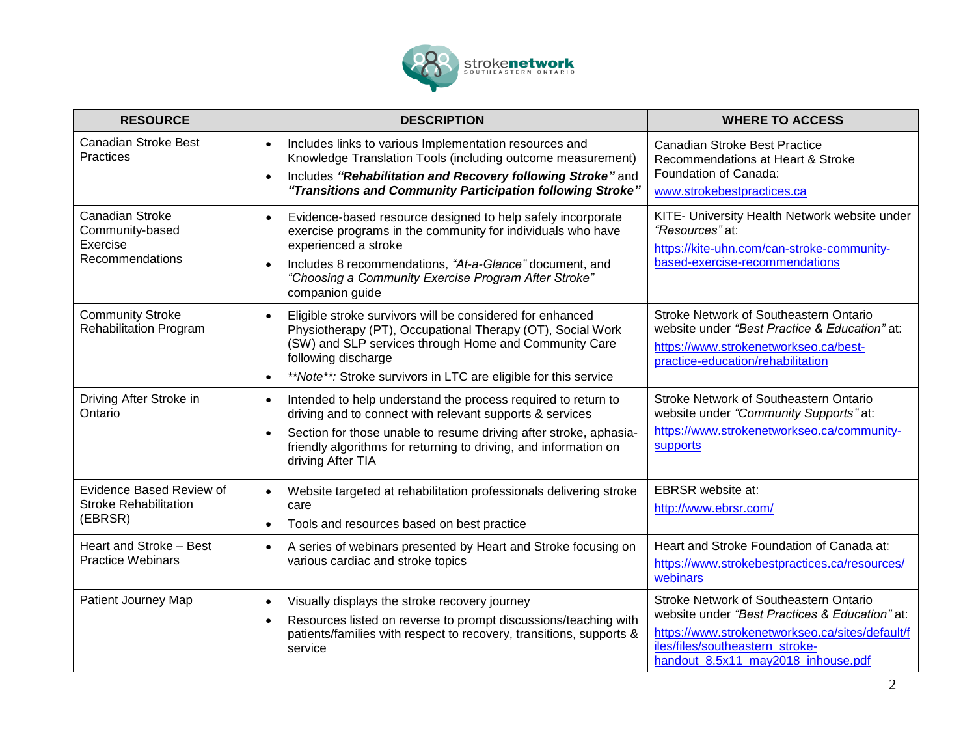

| <b>RESOURCE</b>                                                          | <b>DESCRIPTION</b>                                                                                                                                                                                                                                                                                    | <b>WHERE TO ACCESS</b>                                                                                                                                                                                               |
|--------------------------------------------------------------------------|-------------------------------------------------------------------------------------------------------------------------------------------------------------------------------------------------------------------------------------------------------------------------------------------------------|----------------------------------------------------------------------------------------------------------------------------------------------------------------------------------------------------------------------|
| <b>Canadian Stroke Best</b><br>Practices                                 | Includes links to various Implementation resources and<br>$\bullet$<br>Knowledge Translation Tools (including outcome measurement)<br>Includes "Rehabilitation and Recovery following Stroke" and<br>"Transitions and Community Participation following Stroke"                                       | <b>Canadian Stroke Best Practice</b><br>Recommendations at Heart & Stroke<br>Foundation of Canada:<br>www.strokebestpractices.ca                                                                                     |
| <b>Canadian Stroke</b><br>Community-based<br>Exercise<br>Recommendations | Evidence-based resource designed to help safely incorporate<br>$\bullet$<br>exercise programs in the community for individuals who have<br>experienced a stroke<br>Includes 8 recommendations, "At-a-Glance" document, and<br>"Choosing a Community Exercise Program After Stroke"<br>companion guide | KITE- University Health Network website under<br>"Resources" at:<br>https://kite-uhn.com/can-stroke-community-<br>based-exercise-recommendations                                                                     |
| <b>Community Stroke</b><br><b>Rehabilitation Program</b>                 | Eligible stroke survivors will be considered for enhanced<br>$\bullet$<br>Physiotherapy (PT), Occupational Therapy (OT), Social Work<br>(SW) and SLP services through Home and Community Care<br>following discharge<br>**Note**: Stroke survivors in LTC are eligible for this service               | Stroke Network of Southeastern Ontario<br>website under "Best Practice & Education" at:<br>https://www.strokenetworkseo.ca/best-<br>practice-education/rehabilitation                                                |
| Driving After Stroke in<br>Ontario                                       | Intended to help understand the process required to return to<br>$\bullet$<br>driving and to connect with relevant supports & services<br>Section for those unable to resume driving after stroke, aphasia-<br>friendly algorithms for returning to driving, and information on<br>driving After TIA  | Stroke Network of Southeastern Ontario<br>website under "Community Supports" at:<br>https://www.strokenetworkseo.ca/community-<br>supports                                                                           |
| Evidence Based Review of<br><b>Stroke Rehabilitation</b><br>(EBRSR)      | Website targeted at rehabilitation professionals delivering stroke<br>care<br>Tools and resources based on best practice<br>$\bullet$                                                                                                                                                                 | <b>EBRSR</b> website at:<br>http://www.ebrsr.com/                                                                                                                                                                    |
| Heart and Stroke - Best<br><b>Practice Webinars</b>                      | A series of webinars presented by Heart and Stroke focusing on<br>$\bullet$<br>various cardiac and stroke topics                                                                                                                                                                                      | Heart and Stroke Foundation of Canada at:<br>https://www.strokebestpractices.ca/resources/<br>webinars                                                                                                               |
| Patient Journey Map                                                      | Visually displays the stroke recovery journey<br>$\bullet$<br>Resources listed on reverse to prompt discussions/teaching with<br>$\bullet$<br>patients/families with respect to recovery, transitions, supports &<br>service                                                                          | Stroke Network of Southeastern Ontario<br>website under "Best Practices & Education" at:<br>https://www.strokenetworkseo.ca/sites/default/f<br>iles/files/southeastern_stroke-<br>handout 8.5x11 may2018 inhouse.pdf |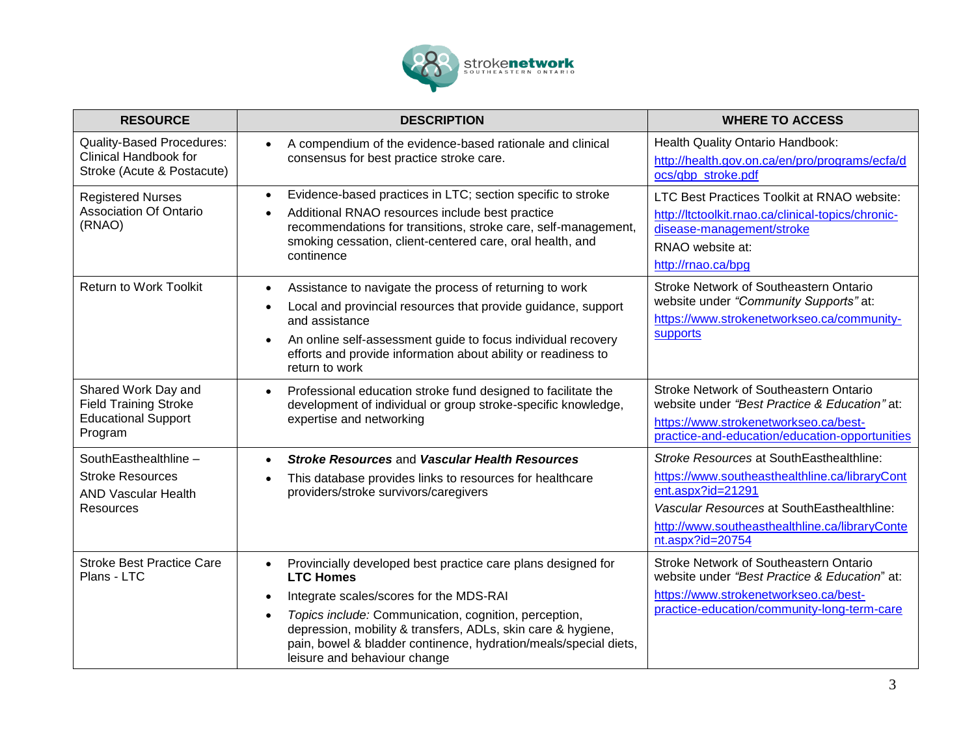

| <b>RESOURCE</b>                                                                              | <b>DESCRIPTION</b>                                                                                                                                                                                                                                                                                                                                                                              | <b>WHERE TO ACCESS</b>                                                                                                                                                                                                              |
|----------------------------------------------------------------------------------------------|-------------------------------------------------------------------------------------------------------------------------------------------------------------------------------------------------------------------------------------------------------------------------------------------------------------------------------------------------------------------------------------------------|-------------------------------------------------------------------------------------------------------------------------------------------------------------------------------------------------------------------------------------|
| <b>Quality-Based Procedures:</b><br>Clinical Handbook for<br>Stroke (Acute & Postacute)      | A compendium of the evidence-based rationale and clinical<br>$\bullet$<br>consensus for best practice stroke care.                                                                                                                                                                                                                                                                              | Health Quality Ontario Handbook:<br>http://health.gov.on.ca/en/pro/programs/ecfa/d<br>ocs/qbp_stroke.pdf                                                                                                                            |
| <b>Registered Nurses</b><br><b>Association Of Ontario</b><br>(RNAO)                          | Evidence-based practices in LTC; section specific to stroke<br>$\bullet$<br>Additional RNAO resources include best practice<br>$\bullet$<br>recommendations for transitions, stroke care, self-management,<br>smoking cessation, client-centered care, oral health, and<br>continence                                                                                                           | LTC Best Practices Toolkit at RNAO website:<br>http://ltctoolkit.rnao.ca/clinical-topics/chronic-<br>disease-management/stroke<br>RNAO website at:<br>http://rnao.ca/bpg                                                            |
| Return to Work Toolkit                                                                       | Assistance to navigate the process of returning to work<br>$\bullet$<br>Local and provincial resources that provide guidance, support<br>$\bullet$<br>and assistance<br>An online self-assessment guide to focus individual recovery<br>$\bullet$<br>efforts and provide information about ability or readiness to<br>return to work                                                            | Stroke Network of Southeastern Ontario<br>website under "Community Supports" at:<br>https://www.strokenetworkseo.ca/community-<br>supports                                                                                          |
| Shared Work Day and<br><b>Field Training Stroke</b><br><b>Educational Support</b><br>Program | Professional education stroke fund designed to facilitate the<br>$\bullet$<br>development of individual or group stroke-specific knowledge,<br>expertise and networking                                                                                                                                                                                                                         | Stroke Network of Southeastern Ontario<br>website under "Best Practice & Education" at:<br>https://www.strokenetworkseo.ca/best-<br>practice-and-education/education-opportunities                                                  |
| SouthEasthealthline -<br><b>Stroke Resources</b><br><b>AND Vascular Health</b><br>Resources  | <b>Stroke Resources and Vascular Health Resources</b><br>$\bullet$<br>This database provides links to resources for healthcare<br>$\bullet$<br>providers/stroke survivors/caregivers                                                                                                                                                                                                            | Stroke Resources at SouthEasthealthline:<br>https://www.southeasthealthline.ca/libraryCont<br>ent.aspx?id=21291<br>Vascular Resources at SouthEasthealthline:<br>http://www.southeasthealthline.ca/libraryConte<br>nt.aspx?id=20754 |
| <b>Stroke Best Practice Care</b><br>Plans - LTC                                              | Provincially developed best practice care plans designed for<br>$\bullet$<br><b>LTC Homes</b><br>Integrate scales/scores for the MDS-RAI<br>$\bullet$<br>Topics include: Communication, cognition, perception,<br>$\bullet$<br>depression, mobility & transfers, ADLs, skin care & hygiene,<br>pain, bowel & bladder continence, hydration/meals/special diets,<br>leisure and behaviour change | Stroke Network of Southeastern Ontario<br>website under "Best Practice & Education" at:<br>https://www.strokenetworkseo.ca/best-<br>practice-education/community-long-term-care                                                     |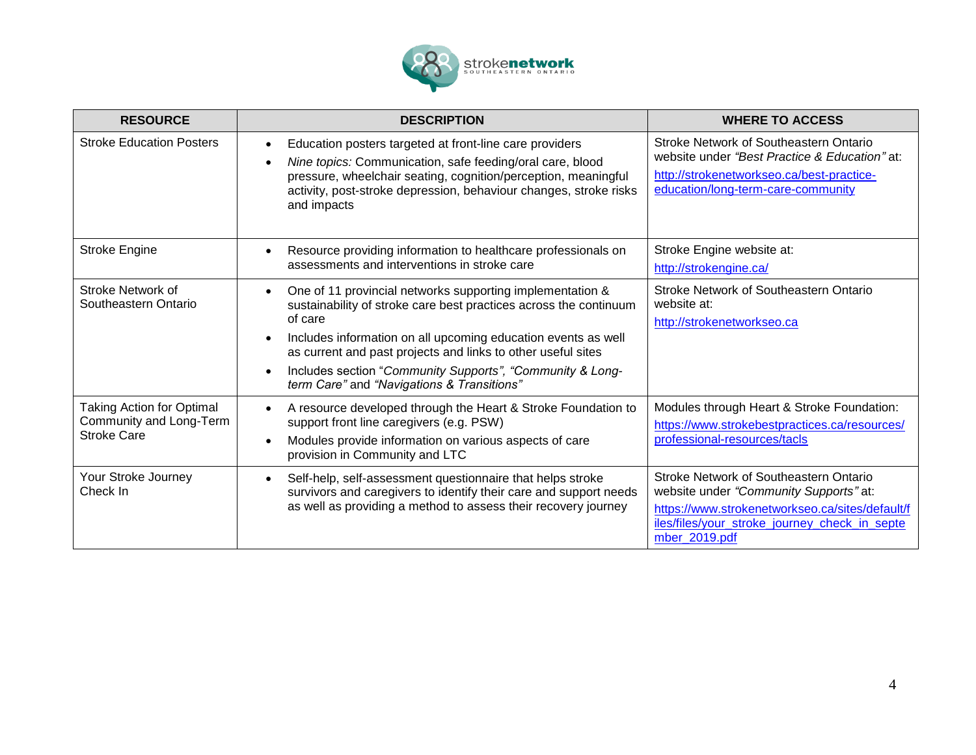

| <b>RESOURCE</b>                                                                   | <b>DESCRIPTION</b>                                                                                                                                                                                                                                                                                                                                                                    | <b>WHERE TO ACCESS</b>                                                                                                                                                                                |
|-----------------------------------------------------------------------------------|---------------------------------------------------------------------------------------------------------------------------------------------------------------------------------------------------------------------------------------------------------------------------------------------------------------------------------------------------------------------------------------|-------------------------------------------------------------------------------------------------------------------------------------------------------------------------------------------------------|
| <b>Stroke Education Posters</b>                                                   | Education posters targeted at front-line care providers<br>Nine topics: Communication, safe feeding/oral care, blood<br>pressure, wheelchair seating, cognition/perception, meaningful<br>activity, post-stroke depression, behaviour changes, stroke risks<br>and impacts                                                                                                            | Stroke Network of Southeastern Ontario<br>website under "Best Practice & Education" at:<br>http://strokenetworkseo.ca/best-practice-<br>education/long-term-care-community                            |
| <b>Stroke Engine</b>                                                              | Resource providing information to healthcare professionals on<br>assessments and interventions in stroke care                                                                                                                                                                                                                                                                         | Stroke Engine website at:<br>http://strokengine.ca/                                                                                                                                                   |
| Stroke Network of<br>Southeastern Ontario                                         | One of 11 provincial networks supporting implementation &<br>sustainability of stroke care best practices across the continuum<br>of care<br>Includes information on all upcoming education events as well<br>as current and past projects and links to other useful sites<br>Includes section "Community Supports", "Community & Long-<br>term Care" and "Navigations & Transitions" | <b>Stroke Network of Southeastern Ontario</b><br>website at:<br>http://strokenetworkseo.ca                                                                                                            |
| <b>Taking Action for Optimal</b><br>Community and Long-Term<br><b>Stroke Care</b> | A resource developed through the Heart & Stroke Foundation to<br>support front line caregivers (e.g. PSW)<br>Modules provide information on various aspects of care<br>provision in Community and LTC                                                                                                                                                                                 | Modules through Heart & Stroke Foundation:<br>https://www.strokebestpractices.ca/resources/<br>professional-resources/tacls                                                                           |
| Your Stroke Journey<br>Check In                                                   | Self-help, self-assessment questionnaire that helps stroke<br>$\bullet$<br>survivors and caregivers to identify their care and support needs<br>as well as providing a method to assess their recovery journey                                                                                                                                                                        | Stroke Network of Southeastern Ontario<br>website under "Community Supports" at:<br>https://www.strokenetworkseo.ca/sites/default/f<br>iles/files/your stroke journey check in septe<br>mber_2019.pdf |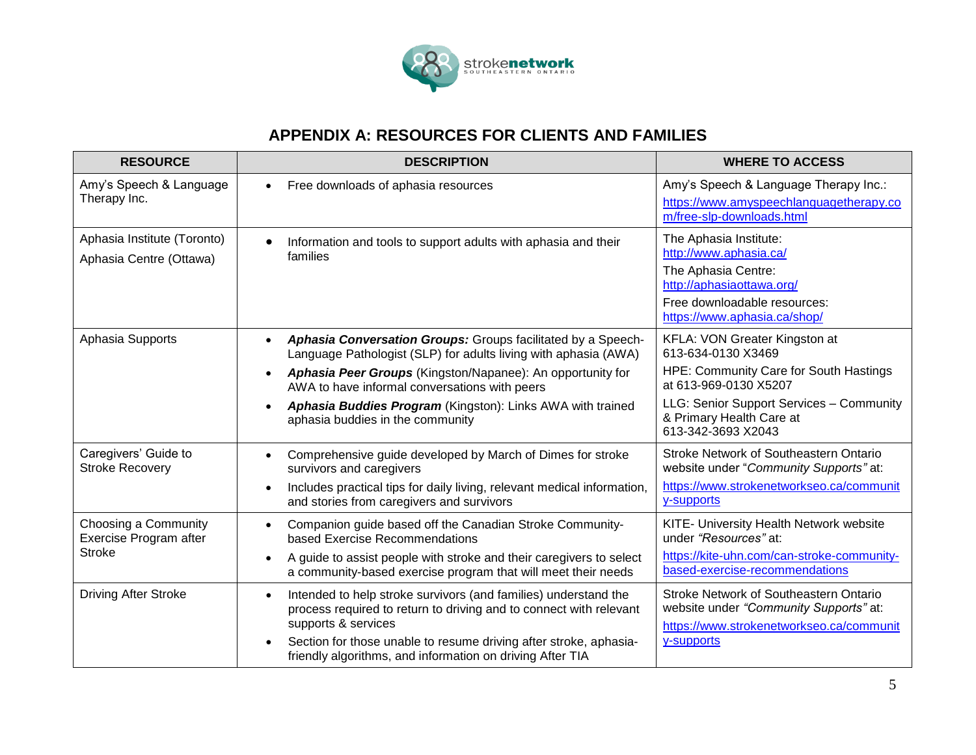

## **APPENDIX A: RESOURCES FOR CLIENTS AND FAMILIES**

| <b>RESOURCE</b>                                                 | <b>DESCRIPTION</b>                                                                                                                                                                                                                                                                                                                                                                      | <b>WHERE TO ACCESS</b>                                                                                                                                                                                               |
|-----------------------------------------------------------------|-----------------------------------------------------------------------------------------------------------------------------------------------------------------------------------------------------------------------------------------------------------------------------------------------------------------------------------------------------------------------------------------|----------------------------------------------------------------------------------------------------------------------------------------------------------------------------------------------------------------------|
| Amy's Speech & Language<br>Therapy Inc.                         | Free downloads of aphasia resources<br>$\bullet$                                                                                                                                                                                                                                                                                                                                        | Amy's Speech & Language Therapy Inc.:<br>https://www.amyspeechlanguagetherapy.co<br>m/free-slp-downloads.html                                                                                                        |
| Aphasia Institute (Toronto)<br>Aphasia Centre (Ottawa)          | Information and tools to support adults with aphasia and their<br>$\bullet$<br>families                                                                                                                                                                                                                                                                                                 | The Aphasia Institute:<br>http://www.aphasia.ca/<br>The Aphasia Centre:<br>http://aphasiaottawa.org/<br>Free downloadable resources:<br>https://www.aphasia.ca/shop/                                                 |
| Aphasia Supports                                                | Aphasia Conversation Groups: Groups facilitated by a Speech-<br>$\bullet$<br>Language Pathologist (SLP) for adults living with aphasia (AWA)<br>Aphasia Peer Groups (Kingston/Napanee): An opportunity for<br>$\bullet$<br>AWA to have informal conversations with peers<br>Aphasia Buddies Program (Kingston): Links AWA with trained<br>$\bullet$<br>aphasia buddies in the community | KFLA: VON Greater Kingston at<br>613-634-0130 X3469<br>HPE: Community Care for South Hastings<br>at 613-969-0130 X5207<br>LLG: Senior Support Services - Community<br>& Primary Health Care at<br>613-342-3693 X2043 |
| Caregivers' Guide to<br><b>Stroke Recovery</b>                  | Comprehensive guide developed by March of Dimes for stroke<br>$\bullet$<br>survivors and caregivers<br>Includes practical tips for daily living, relevant medical information,<br>$\bullet$<br>and stories from caregivers and survivors                                                                                                                                                | Stroke Network of Southeastern Ontario<br>website under "Community Supports" at:<br>https://www.strokenetworkseo.ca/communit<br>y-supports                                                                           |
| Choosing a Community<br>Exercise Program after<br><b>Stroke</b> | Companion guide based off the Canadian Stroke Community-<br>$\bullet$<br>based Exercise Recommendations<br>A guide to assist people with stroke and their caregivers to select<br>$\bullet$<br>a community-based exercise program that will meet their needs                                                                                                                            | KITE- University Health Network website<br>under "Resources" at:<br>https://kite-uhn.com/can-stroke-community-<br>based-exercise-recommendations                                                                     |
| <b>Driving After Stroke</b>                                     | Intended to help stroke survivors (and families) understand the<br>$\bullet$<br>process required to return to driving and to connect with relevant<br>supports & services<br>Section for those unable to resume driving after stroke, aphasia-<br>$\bullet$<br>friendly algorithms, and information on driving After TIA                                                                | Stroke Network of Southeastern Ontario<br>website under "Community Supports" at:<br>https://www.strokenetworkseo.ca/communit<br>y-supports                                                                           |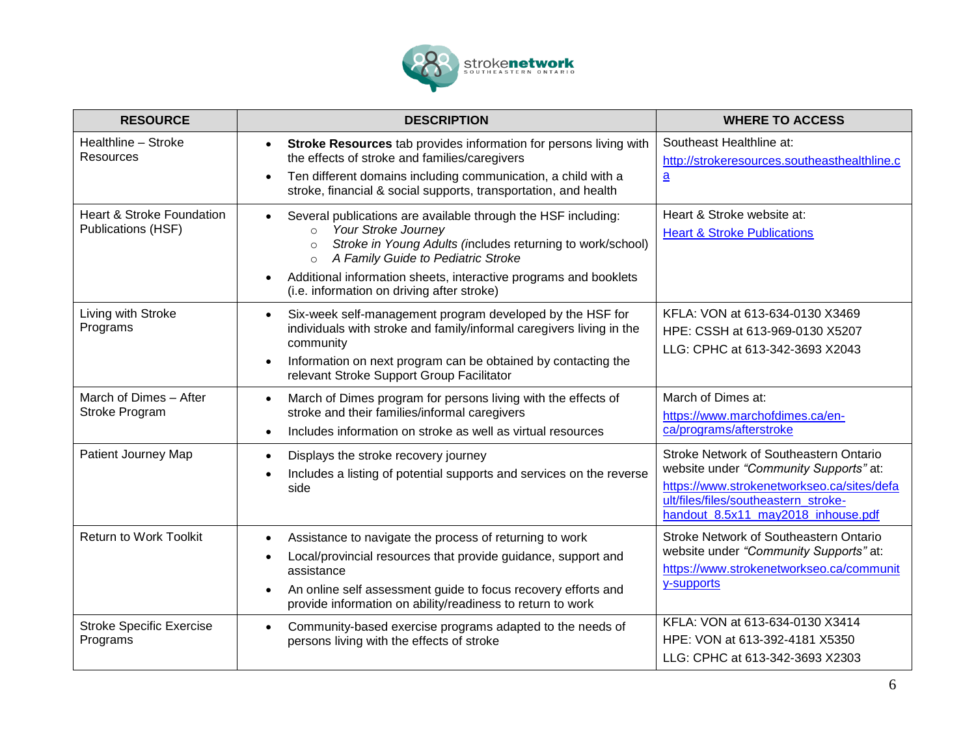

| <b>RESOURCE</b>                                            | <b>DESCRIPTION</b>                                                                                                                                                                                                                                                                                                                                                     | <b>WHERE TO ACCESS</b>                                                                                                                                                                                       |
|------------------------------------------------------------|------------------------------------------------------------------------------------------------------------------------------------------------------------------------------------------------------------------------------------------------------------------------------------------------------------------------------------------------------------------------|--------------------------------------------------------------------------------------------------------------------------------------------------------------------------------------------------------------|
| Healthline - Stroke<br><b>Resources</b>                    | Stroke Resources tab provides information for persons living with<br>$\bullet$<br>the effects of stroke and families/caregivers<br>Ten different domains including communication, a child with a<br>$\bullet$<br>stroke, financial & social supports, transportation, and health                                                                                       | Southeast Healthline at:<br>http://strokeresources.southeasthealthline.c<br>$\mathbf{a}$                                                                                                                     |
| <b>Heart &amp; Stroke Foundation</b><br>Publications (HSF) | Several publications are available through the HSF including:<br>$\bullet$<br>Your Stroke Journey<br>$\Omega$<br>Stroke in Young Adults (includes returning to work/school)<br>$\circ$<br>A Family Guide to Pediatric Stroke<br>$\circ$<br>Additional information sheets, interactive programs and booklets<br>$\bullet$<br>(i.e. information on driving after stroke) | Heart & Stroke website at:<br><b>Heart &amp; Stroke Publications</b>                                                                                                                                         |
| Living with Stroke<br>Programs                             | Six-week self-management program developed by the HSF for<br>$\bullet$<br>individuals with stroke and family/informal caregivers living in the<br>community<br>Information on next program can be obtained by contacting the<br>$\bullet$<br>relevant Stroke Support Group Facilitator                                                                                 | KFLA: VON at 613-634-0130 X3469<br>HPE: CSSH at 613-969-0130 X5207<br>LLG: CPHC at 613-342-3693 X2043                                                                                                        |
| March of Dimes - After<br>Stroke Program                   | March of Dimes program for persons living with the effects of<br>$\bullet$<br>stroke and their families/informal caregivers<br>Includes information on stroke as well as virtual resources<br>$\bullet$                                                                                                                                                                | March of Dimes at:<br>https://www.marchofdimes.ca/en-<br>ca/programs/afterstroke                                                                                                                             |
| Patient Journey Map                                        | Displays the stroke recovery journey<br>$\bullet$<br>Includes a listing of potential supports and services on the reverse<br>$\bullet$<br>side                                                                                                                                                                                                                         | Stroke Network of Southeastern Ontario<br>website under "Community Supports" at:<br>https://www.strokenetworkseo.ca/sites/defa<br>ult/files/files/southeastern stroke-<br>handout 8.5x11 may2018 inhouse.pdf |
| <b>Return to Work Toolkit</b>                              | Assistance to navigate the process of returning to work<br>$\bullet$<br>Local/provincial resources that provide guidance, support and<br>$\bullet$<br>assistance<br>An online self assessment guide to focus recovery efforts and<br>provide information on ability/readiness to return to work                                                                        | Stroke Network of Southeastern Ontario<br>website under "Community Supports" at:<br>https://www.strokenetworkseo.ca/communit<br>y-supports                                                                   |
| <b>Stroke Specific Exercise</b><br>Programs                | Community-based exercise programs adapted to the needs of<br>persons living with the effects of stroke                                                                                                                                                                                                                                                                 | KFLA: VON at 613-634-0130 X3414<br>HPE: VON at 613-392-4181 X5350<br>LLG: CPHC at 613-342-3693 X2303                                                                                                         |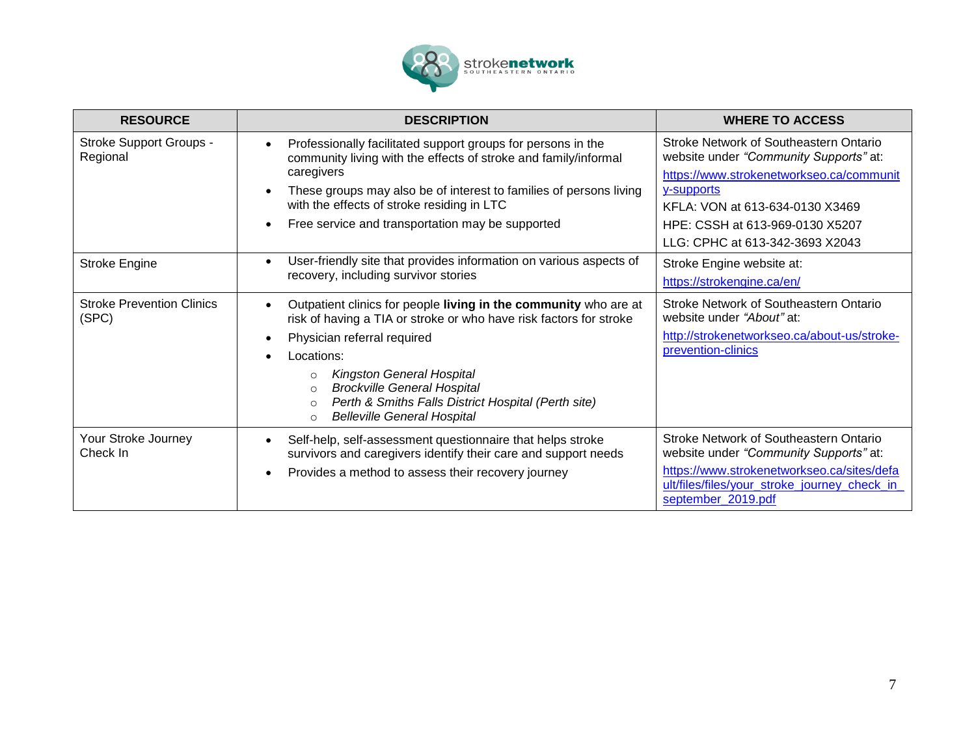

| <b>RESOURCE</b>                            | <b>DESCRIPTION</b>                                                                                                                                                                                                                                                                                                                                                                                                                             | <b>WHERE TO ACCESS</b>                                                                                                                                                                                |
|--------------------------------------------|------------------------------------------------------------------------------------------------------------------------------------------------------------------------------------------------------------------------------------------------------------------------------------------------------------------------------------------------------------------------------------------------------------------------------------------------|-------------------------------------------------------------------------------------------------------------------------------------------------------------------------------------------------------|
| <b>Stroke Support Groups -</b><br>Regional | Professionally facilitated support groups for persons in the<br>$\bullet$<br>community living with the effects of stroke and family/informal<br>caregivers<br>These groups may also be of interest to families of persons living                                                                                                                                                                                                               | Stroke Network of Southeastern Ontario<br>website under "Community Supports" at:<br>https://www.strokenetworkseo.ca/communit<br>y-supports                                                            |
|                                            | with the effects of stroke residing in LTC<br>Free service and transportation may be supported<br>$\bullet$                                                                                                                                                                                                                                                                                                                                    | KFLA: VON at 613-634-0130 X3469<br>HPE: CSSH at 613-969-0130 X5207<br>LLG: CPHC at 613-342-3693 X2043                                                                                                 |
| <b>Stroke Engine</b>                       | User-friendly site that provides information on various aspects of<br>$\bullet$<br>recovery, including survivor stories                                                                                                                                                                                                                                                                                                                        | Stroke Engine website at:<br>https://strokengine.ca/en/                                                                                                                                               |
| <b>Stroke Prevention Clinics</b><br>(SPC)  | Outpatient clinics for people living in the community who are at<br>$\bullet$<br>risk of having a TIA or stroke or who have risk factors for stroke<br>Physician referral required<br>$\bullet$<br>Locations:<br>$\bullet$<br><b>Kingston General Hospital</b><br>$\circ$<br><b>Brockville General Hospital</b><br>$\circ$<br>Perth & Smiths Falls District Hospital (Perth site)<br>$\Omega$<br><b>Belleville General Hospital</b><br>$\circ$ | Stroke Network of Southeastern Ontario<br>website under "About" at:<br>http://strokenetworkseo.ca/about-us/stroke-<br>prevention-clinics                                                              |
| Your Stroke Journey<br>Check In            | Self-help, self-assessment questionnaire that helps stroke<br>$\bullet$<br>survivors and caregivers identify their care and support needs<br>Provides a method to assess their recovery journey<br>$\bullet$                                                                                                                                                                                                                                   | Stroke Network of Southeastern Ontario<br>website under "Community Supports" at:<br>https://www.strokenetworkseo.ca/sites/defa<br>ult/files/files/your_stroke_journey_check_in_<br>september_2019.pdf |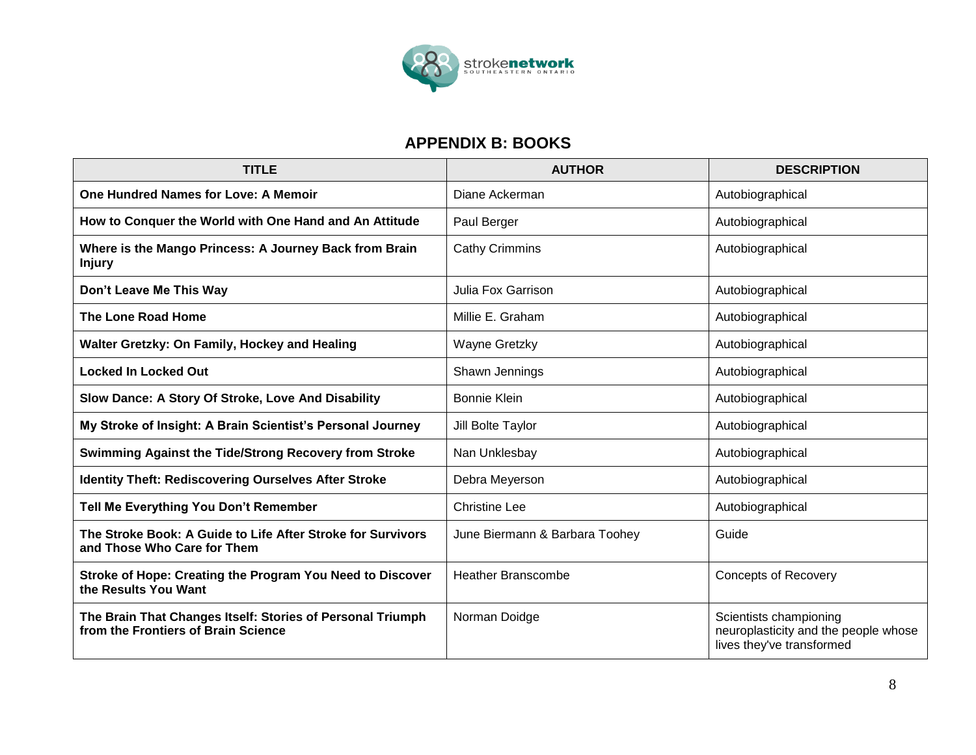

## **APPENDIX B: BOOKS**

| <b>TITLE</b>                                                                                      | <b>AUTHOR</b>                  | <b>DESCRIPTION</b>                                                                          |
|---------------------------------------------------------------------------------------------------|--------------------------------|---------------------------------------------------------------------------------------------|
| <b>One Hundred Names for Love: A Memoir</b>                                                       | Diane Ackerman                 | Autobiographical                                                                            |
| How to Conquer the World with One Hand and An Attitude                                            | Paul Berger                    | Autobiographical                                                                            |
| Where is the Mango Princess: A Journey Back from Brain<br><b>Injury</b>                           | <b>Cathy Crimmins</b>          | Autobiographical                                                                            |
| Don't Leave Me This Way                                                                           | Julia Fox Garrison             | Autobiographical                                                                            |
| <b>The Lone Road Home</b>                                                                         | Millie E. Graham               | Autobiographical                                                                            |
| Walter Gretzky: On Family, Hockey and Healing                                                     | Wayne Gretzky                  | Autobiographical                                                                            |
| <b>Locked In Locked Out</b>                                                                       | Shawn Jennings                 | Autobiographical                                                                            |
| Slow Dance: A Story Of Stroke, Love And Disability                                                | <b>Bonnie Klein</b>            | Autobiographical                                                                            |
| My Stroke of Insight: A Brain Scientist's Personal Journey                                        | Jill Bolte Taylor              | Autobiographical                                                                            |
| Swimming Against the Tide/Strong Recovery from Stroke                                             | Nan Unklesbay                  | Autobiographical                                                                            |
| <b>Identity Theft: Rediscovering Ourselves After Stroke</b>                                       | Debra Meyerson                 | Autobiographical                                                                            |
| Tell Me Everything You Don't Remember                                                             | <b>Christine Lee</b>           | Autobiographical                                                                            |
| The Stroke Book: A Guide to Life After Stroke for Survivors<br>and Those Who Care for Them        | June Biermann & Barbara Toohey | Guide                                                                                       |
| Stroke of Hope: Creating the Program You Need to Discover<br>the Results You Want                 | <b>Heather Branscombe</b>      | <b>Concepts of Recovery</b>                                                                 |
| The Brain That Changes Itself: Stories of Personal Triumph<br>from the Frontiers of Brain Science | Norman Doidge                  | Scientists championing<br>neuroplasticity and the people whose<br>lives they've transformed |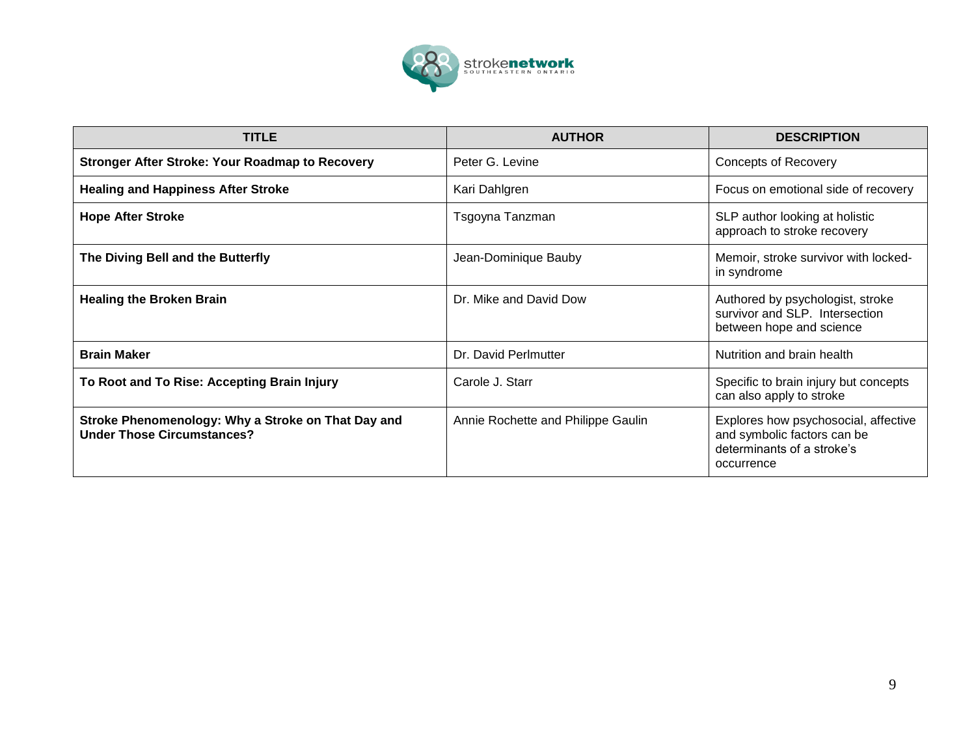

| <b>TITLE</b>                                                                            | <b>AUTHOR</b>                      | <b>DESCRIPTION</b>                                                                                              |
|-----------------------------------------------------------------------------------------|------------------------------------|-----------------------------------------------------------------------------------------------------------------|
| <b>Stronger After Stroke: Your Roadmap to Recovery</b>                                  | Peter G. Levine                    | <b>Concepts of Recovery</b>                                                                                     |
| <b>Healing and Happiness After Stroke</b>                                               | Kari Dahlgren                      | Focus on emotional side of recovery                                                                             |
| <b>Hope After Stroke</b>                                                                | Tsgoyna Tanzman                    | SLP author looking at holistic<br>approach to stroke recovery                                                   |
| The Diving Bell and the Butterfly                                                       | Jean-Dominique Bauby               | Memoir, stroke survivor with locked-<br>in syndrome                                                             |
| <b>Healing the Broken Brain</b>                                                         | Dr. Mike and David Dow             | Authored by psychologist, stroke<br>survivor and SLP. Intersection<br>between hope and science                  |
| <b>Brain Maker</b>                                                                      | Dr. David Perlmutter               | Nutrition and brain health                                                                                      |
| To Root and To Rise: Accepting Brain Injury                                             | Carole J. Starr                    | Specific to brain injury but concepts<br>can also apply to stroke                                               |
| Stroke Phenomenology: Why a Stroke on That Day and<br><b>Under Those Circumstances?</b> | Annie Rochette and Philippe Gaulin | Explores how psychosocial, affective<br>and symbolic factors can be<br>determinants of a stroke's<br>occurrence |